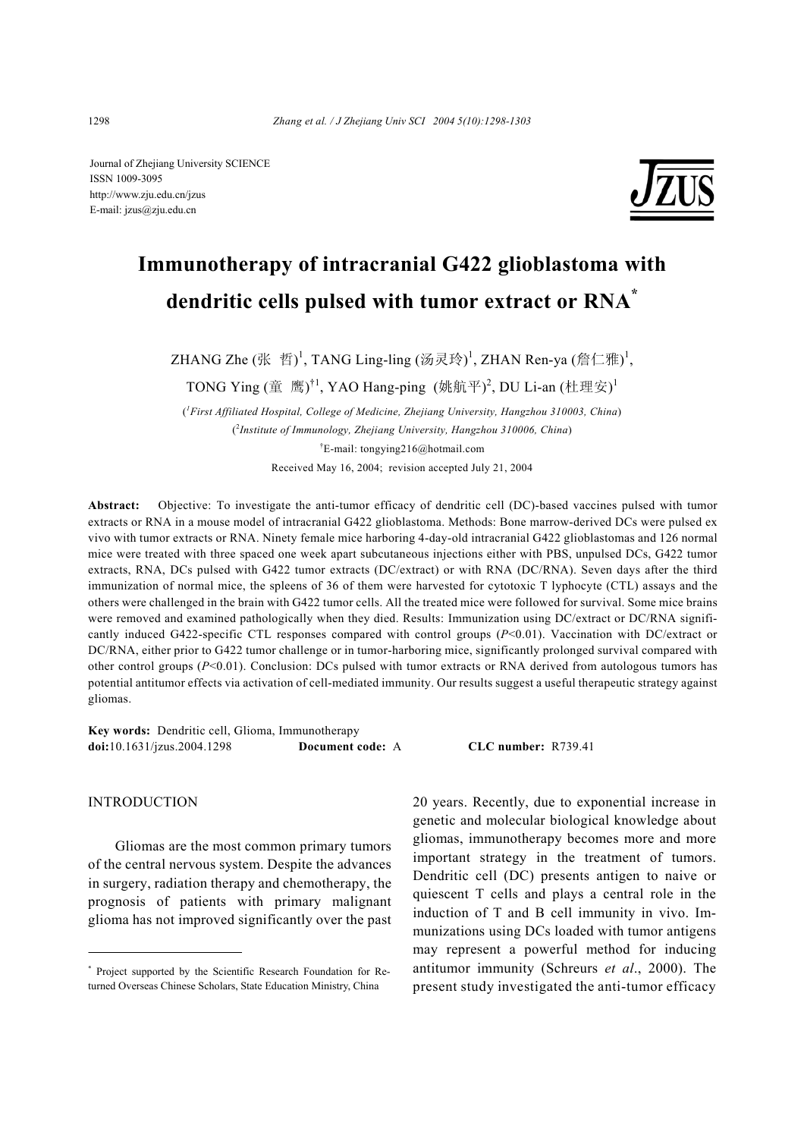Journal of Zhejiang University SCIENCE ISSN 1009-3095 http://www.zju.edu.cn/jzus E-mail: jzus@zju.edu.cn



# **Immunotherapy of intracranial G422 glioblastoma with dendritic cells pulsed with tumor extract or RNA\***

ZHANG Zhe  $(\mathbb{K} \quad \H\mathbb{H})^1$ , TANG Ling-ling  $(\bar{\mathbb{W}} \mathbb{R} \mathbb{R})^1$ , ZHAN Ren-ya (詹仁雅) $^1$ ,

TONG Ying (童 鹰)<sup>†1</sup>, YAO Hang-ping (姚航平)<sup>2</sup>, DU Li-an (杜理安)<sup>1</sup>

( *1 First Affiliated Hospital, College of Medicine, Zhejiang University, Hangzhou 310003, China*) ( 2 *Institute of Immunology, Zhejiang University, Hangzhou 310006, China*) † E-mail: tongying216@hotmail.com Received May 16, 2004; revision accepted July 21, 2004

**Abstract:** Objective: To investigate the anti-tumor efficacy of dendritic cell (DC)-based vaccines pulsed with tumor extracts or RNA in a mouse model of intracranial G422 glioblastoma. Methods: Bone marrow-derived DCs were pulsed ex vivo with tumor extracts or RNA. Ninety female mice harboring 4-day-old intracranial G422 glioblastomas and 126 normal mice were treated with three spaced one week apart subcutaneous injections either with PBS, unpulsed DCs, G422 tumor extracts, RNA, DCs pulsed with G422 tumor extracts (DC/extract) or with RNA (DC/RNA). Seven days after the third immunization of normal mice, the spleens of 36 of them were harvested for cytotoxic T lyphocyte (CTL) assays and the others were challenged in the brain with G422 tumor cells. All the treated mice were followed for survival. Some mice brains were removed and examined pathologically when they died. Results: Immunization using DC/extract or DC/RNA significantly induced G422-specific CTL responses compared with control groups (*P*<0.01). Vaccination with DC/extract or DC/RNA, either prior to G422 tumor challenge or in tumor-harboring mice, significantly prolonged survival compared with other control groups  $(P<0.01)$ . Conclusion: DCs pulsed with tumor extracts or RNA derived from autologous tumors has potential antitumor effects via activation of cell-mediated immunity. Our results suggest a useful therapeutic strategy against gliomas.

**Key words:** Dendritic cell, Glioma, Immunotherapy **doi:**10.1631/jzus.2004.1298 **Document code:** A **CLC number:** R739.41

INTRODUCTION

Gliomas are the most common primary tumors of the central nervous system. Despite the advances in surgery, radiation therapy and chemotherapy, the prognosis of patients with primary malignant glioma has not improved significantly over the past 20 years. Recently, due to exponential increase in genetic and molecular biological knowledge about gliomas, immunotherapy becomes more and more important strategy in the treatment of tumors. Dendritic cell (DC) presents antigen to naive or quiescent T cells and plays a central role in the induction of T and B cell immunity in vivo. Immunizations using DCs loaded with tumor antigens may represent a powerful method for inducing antitumor immunity (Schreurs *et al*., 2000). The present study investigated the anti-tumor efficacy

<sup>\*</sup> Project supported by the Scientific Research Foundation for Returned Overseas Chinese Scholars, State Education Ministry, China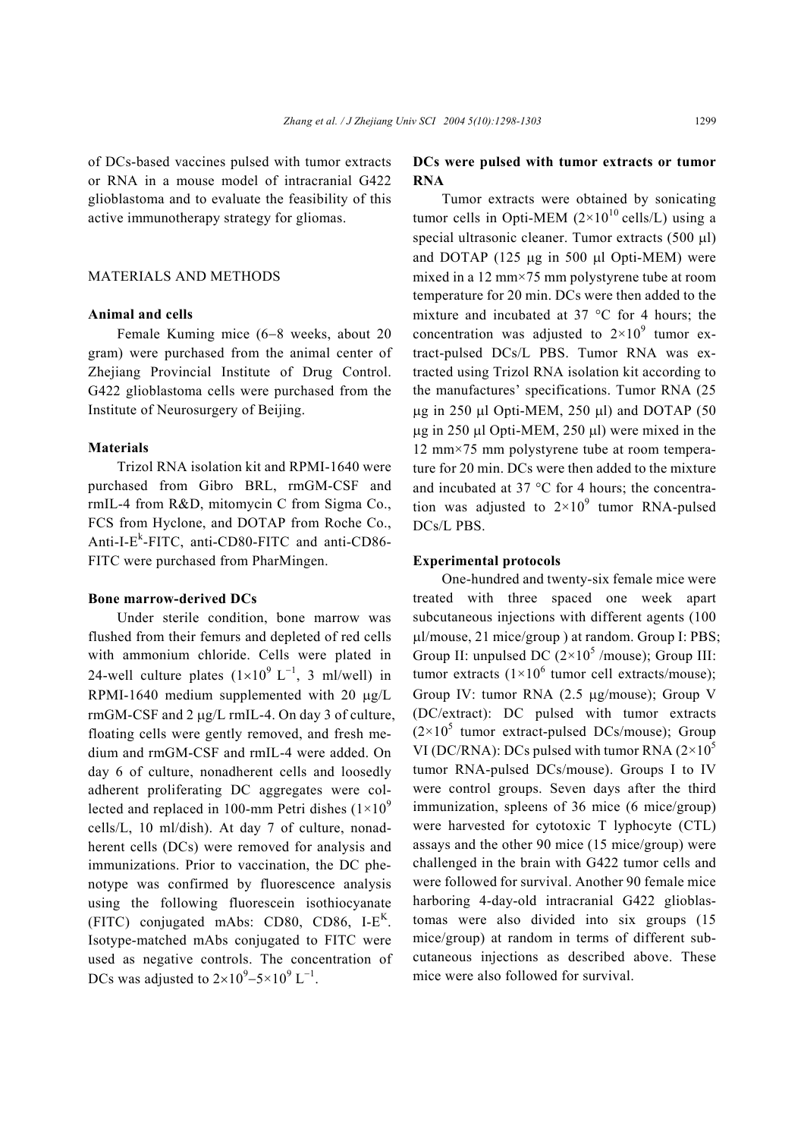of DCs-based vaccines pulsed with tumor extracts or RNA in a mouse model of intracranial G422 glioblastoma and to evaluate the feasibility of this active immunotherapy strategy for gliomas.

## MATERIALS AND METHODS

#### **Animal and cells**

Female Kuming mice (6−8 weeks, about 20 gram) were purchased from the animal center of Zhejiang Provincial Institute of Drug Control. G422 glioblastoma cells were purchased from the Institute of Neurosurgery of Beijing.

#### **Materials**

Trizol RNA isolation kit and RPMI-1640 were purchased from Gibro BRL, rmGM-CSF and rmIL-4 from R&D, mitomycin C from Sigma Co., FCS from Hyclone, and DOTAP from Roche Co., Anti-I-E<sup>k</sup>-FITC, anti-CD80-FITC and anti-CD86-FITC were purchased from PharMingen.

#### **Bone marrow-derived DCs**

Under sterile condition, bone marrow was flushed from their femurs and depleted of red cells with ammonium chloride. Cells were plated in 24-well culture plates  $(1 \times 10^{9} \text{ L}^{-1}, 3 \text{ ml/well})$  in RPMI-1640 medium supplemented with 20  $\mu$ g/L rmGM-CSF and 2 µg/L rmIL-4. On day 3 of culture, floating cells were gently removed, and fresh medium and rmGM-CSF and rmIL-4 were added. On day 6 of culture, nonadherent cells and loosedly adherent proliferating DC aggregates were collected and replaced in 100-mm Petri dishes  $(1\times10^{9}$ cells/L, 10 ml/dish). At day 7 of culture, nonadherent cells (DCs) were removed for analysis and immunizations. Prior to vaccination, the DC phenotype was confirmed by fluorescence analysis using the following fluorescein isothiocyanate  $(FITC)$  conjugated mAbs: CD80, CD86, I- $E<sup>K</sup>$ . Isotype-matched mAbs conjugated to FITC were used as negative controls. The concentration of DCs was adjusted to  $2 \times 10^{9} - 5 \times 10^{9}$  L<sup>-1</sup>.

## **DCs were pulsed with tumor extracts or tumor RNA**

Tumor extracts were obtained by sonicating tumor cells in Opti-MEM  $(2\times10^{10} \text{ cells/L})$  using a special ultrasonic cleaner. Tumor extracts (500 µl) and DOTAP (125 µg in 500 µl Opti-MEM) were mixed in a 12 mm×75 mm polystyrene tube at room temperature for 20 min. DCs were then added to the mixture and incubated at 37 °C for 4 hours; the concentration was adjusted to  $2 \times 10^9$  tumor extract-pulsed DCs/L PBS. Tumor RNA was extracted using Trizol RNA isolation kit according to the manufactures' specifications. Tumor RNA (25 µg in 250 µl Opti-MEM, 250 µl) and DOTAP (50  $\mu$ g in 250  $\mu$ l Opti-MEM, 250  $\mu$ l) were mixed in the 12 mm×75 mm polystyrene tube at room temperature for 20 min. DCs were then added to the mixture and incubated at 37 °C for 4 hours; the concentration was adjusted to  $2 \times 10^9$  tumor RNA-pulsed DCs/L PBS.

#### **Experimental protocols**

One-hundred and twenty-six female mice were treated with three spaced one week apart subcutaneous injections with different agents (100 µl/mouse, 21 mice/group ) at random. Group I: PBS; Group II: unpulsed DC  $(2\times10^5$  /mouse); Group III: tumor extracts  $(1\times10^6$  tumor cell extracts/mouse); Group IV: tumor RNA (2.5 µg/mouse); Group V (DC/extract): DC pulsed with tumor extracts  $(2\times10^5$  tumor extract-pulsed DCs/mouse); Group VI (DC/RNA): DCs pulsed with tumor RNA  $(2\times10^5$ tumor RNA-pulsed DCs/mouse). Groups I to IV were control groups. Seven days after the third immunization, spleens of 36 mice (6 mice/group) were harvested for cytotoxic T lyphocyte (CTL) assays and the other 90 mice (15 mice/group) were challenged in the brain with G422 tumor cells and were followed for survival. Another 90 female mice harboring 4-day-old intracranial G422 glioblastomas were also divided into six groups (15 mice/group) at random in terms of different subcutaneous injections as described above. These mice were also followed for survival.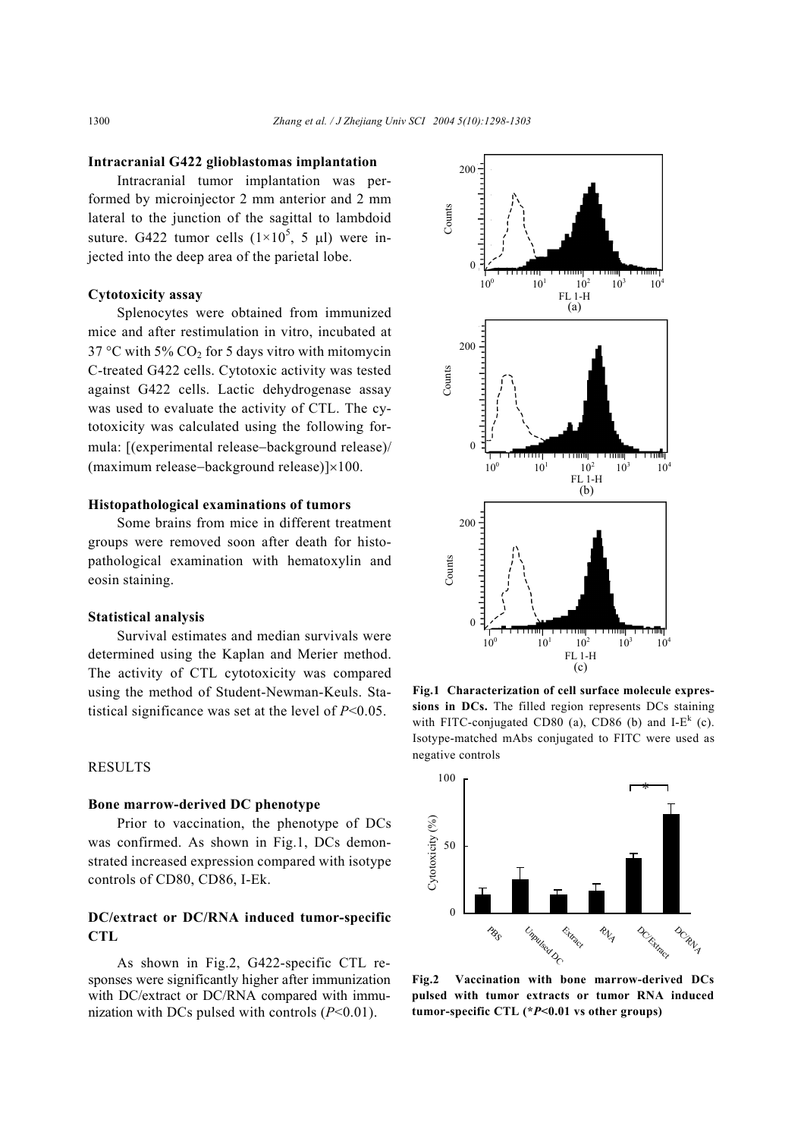#### **Intracranial G422 glioblastomas implantation**

Intracranial tumor implantation was performed by microinjector 2 mm anterior and 2 mm lateral to the junction of the sagittal to lambdoid suture. G422 tumor cells  $(1\times10^5, 5 \text{ µl})$  were injected into the deep area of the parietal lobe.

#### **Cytotoxicity assay**

Splenocytes were obtained from immunized mice and after restimulation in vitro, incubated at  $37^{\circ}$ C with 5% CO<sub>2</sub> for 5 days vitro with mitomycin C-treated G422 cells. Cytotoxic activity was tested against G422 cells. Lactic dehydrogenase assay was used to evaluate the activity of CTL. The cytotoxicity was calculated using the following formula: [(experimental release−background release)/ (maximum release−background release)]×100.

#### **Histopathological examinations of tumors**

Some brains from mice in different treatment groups were removed soon after death for histopathological examination with hematoxylin and eosin staining.

#### **Statistical analysis**

Survival estimates and median survivals were determined using the Kaplan and Merier method. The activity of CTL cytotoxicity was compared using the method of Student-Newman-Keuls. Statistical significance was set at the level of *P*<0.05.

## RESULTS

#### **Bone marrow-derived DC phenotype**

Prior to vaccination, the phenotype of DCs was confirmed. As shown in Fig.1, DCs demonstrated increased expression compared with isotype controls of CD80, CD86, I-Ek.

## **DC/extract or DC/RNA induced tumor-specific CTL**

As shown in Fig.2, G422-specific CTL responses were significantly higher after immunization with DC/extract or DC/RNA compared with immunization with DCs pulsed with controls  $(P<0.01)$ .



**Fig.1 Characterization of cell surface molecule expressions in DCs.** The filled region represents DCs staining with FITC-conjugated CD80 (a), CD86 (b) and I- $E^{k}$  (c). Isotype-matched mAbs conjugated to FITC were used as negative controls



**Fig.2 Vaccination with bone marrow-derived DCs pulsed with tumor extracts or tumor RNA induced**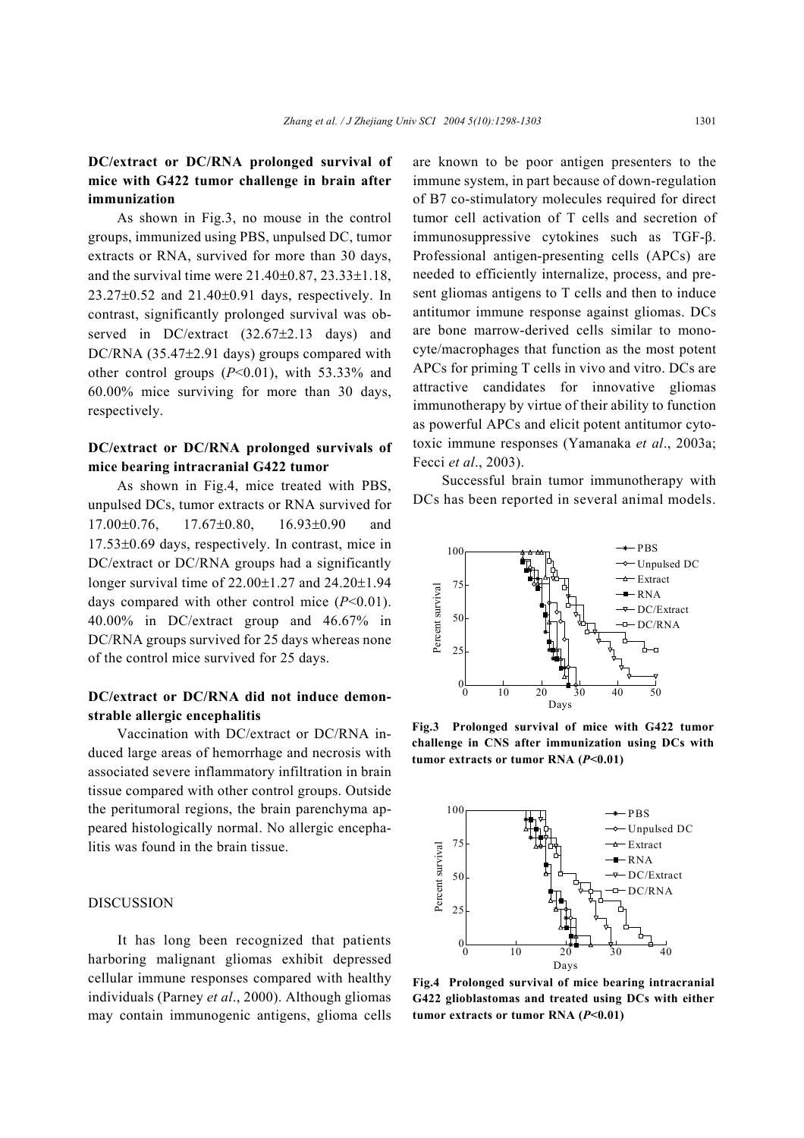## **DC/extract or DC/RNA prolonged survival of mice with G422 tumor challenge in brain after immunization**

As shown in Fig.3, no mouse in the control groups, immunized using PBS, unpulsed DC, tumor extracts or RNA, survived for more than 30 days, and the survival time were  $21.40\pm0.87$ ,  $23.33\pm1.18$ , 23.27±0.52 and 21.40±0.91 days, respectively. In contrast, significantly prolonged survival was observed in DC/extract (32.67±2.13 days) and DC/RNA (35.47±2.91 days) groups compared with other control groups (*P*<0.01), with 53.33% and 60.00% mice surviving for more than 30 days, respectively.

## **DC/extract or DC/RNA prolonged survivals of mice bearing intracranial G422 tumor**

As shown in Fig.4, mice treated with PBS, unpulsed DCs, tumor extracts or RNA survived for 17.00±0.76, 17.67±0.80, 16.93±0.90 and 17.53±0.69 days, respectively. In contrast, mice in DC/extract or DC/RNA groups had a significantly longer survival time of 22.00±1.27 and 24.20±1.94 days compared with other control mice  $(P<0.01)$ . 40.00% in DC/extract group and 46.67% in DC/RNA groups survived for 25 days whereas none of the control mice survived for 25 days.

## **DC/extract or DC/RNA did not induce demonstrable allergic encephalitis**

Vaccination with DC/extract or DC/RNA induced large areas of hemorrhage and necrosis with associated severe inflammatory infiltration in brain tissue compared with other control groups. Outside the peritumoral regions, the brain parenchyma appeared histologically normal. No allergic encephalitis was found in the brain tissue.

#### **DISCUSSION**

It has long been recognized that patients harboring malignant gliomas exhibit depressed cellular immune responses compared with healthy individuals (Parney *et al*., 2000). Although gliomas may contain immunogenic antigens, glioma cells are known to be poor antigen presenters to the immune system, in part because of down-regulation of B7 co-stimulatory molecules required for direct tumor cell activation of T cells and secretion of immunosuppressive cytokines such as TGF-β. Professional antigen-presenting cells (APCs) are needed to efficiently internalize, process, and present gliomas antigens to T cells and then to induce antitumor immune response against gliomas. DCs are bone marrow-derived cells similar to monocyte/macrophages that function as the most potent APCs for priming T cells in vivo and vitro. DCs are attractive candidates for innovative gliomas immunotherapy by virtue of their ability to function as powerful APCs and elicit potent antitumor cytotoxic immune responses (Yamanaka *et al*., 2003a; Fecci *et al*., 2003).

Successful brain tumor immunotherapy with DCs has been reported in several animal models.



**Fig.3 Prolonged survival of mice with G422 tumor challenge in CNS after immunization using DCs with tumor extracts or tumor RNA (***P***<0.01)**



**Fig.4 Prolonged survival of mice bearing intracranial G422 glioblastomas and treated using DCs with either tumor extracts or tumor RNA (***P***<0.01)**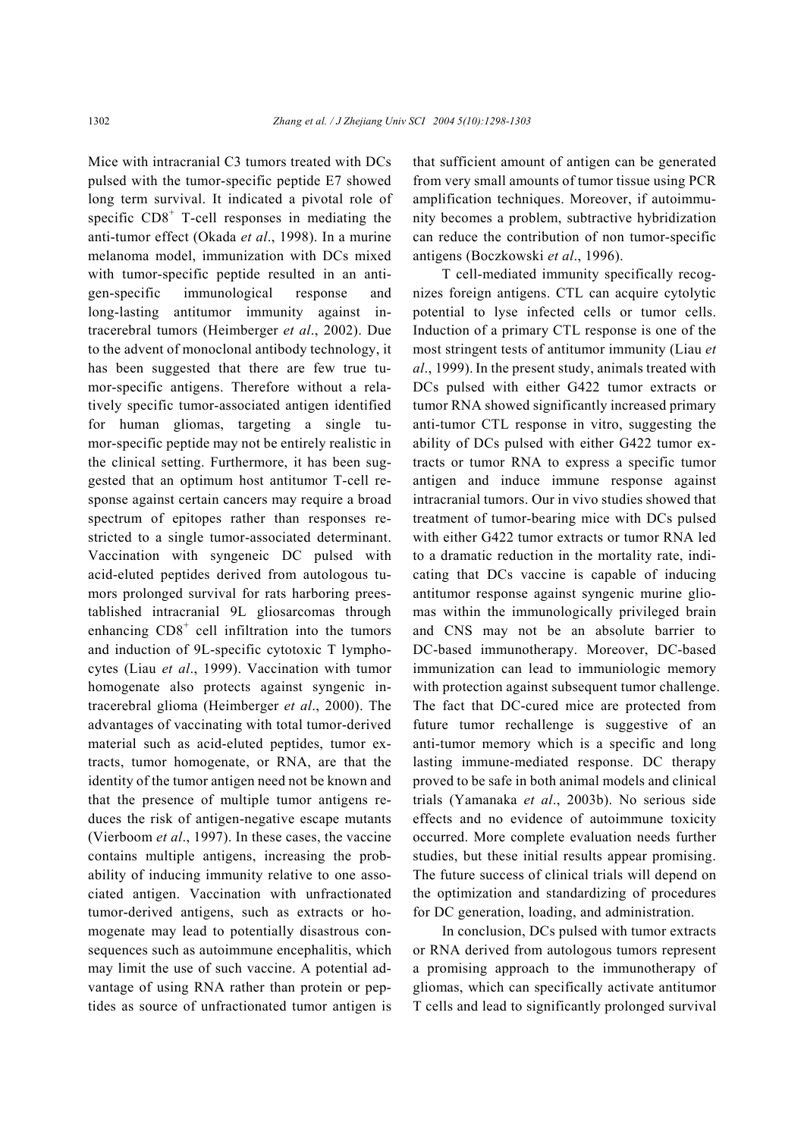Mice with intracranial C3 tumors treated with DCs pulsed with the tumor-specific peptide E7 showed long term survival. It indicated a pivotal role of specific  $CDS<sup>+</sup>$  T-cell responses in mediating the anti-tumor effect (Okada *et al*., 1998). In a murine melanoma model, immunization with DCs mixed with tumor-specific peptide resulted in an antigen-specific immunological response and long-lasting antitumor immunity against intracerebral tumors (Heimberger *et al*., 2002). Due to the advent of monoclonal antibody technology, it has been suggested that there are few true tumor-specific antigens. Therefore without a relatively specific tumor-associated antigen identified for human gliomas, targeting a single tumor-specific peptide may not be entirely realistic in the clinical setting. Furthermore, it has been suggested that an optimum host antitumor T-cell response against certain cancers may require a broad spectrum of epitopes rather than responses restricted to a single tumor-associated determinant. Vaccination with syngeneic DC pulsed with acid-eluted peptides derived from autologous tumors prolonged survival for rats harboring preestablished intracranial 9L gliosarcomas through enhancing  $CD8<sup>+</sup>$  cell infiltration into the tumors and induction of 9L-specific cytotoxic T lymphocytes (Liau *et al*., 1999). Vaccination with tumor homogenate also protects against syngenic intracerebral glioma (Heimberger *et al*., 2000). The advantages of vaccinating with total tumor-derived material such as acid-eluted peptides, tumor extracts, tumor homogenate, or RNA, are that the identity of the tumor antigen need not be known and that the presence of multiple tumor antigens reduces the risk of antigen-negative escape mutants (Vierboom *et al*., 1997). In these cases, the vaccine contains multiple antigens, increasing the probability of inducing immunity relative to one associated antigen. Vaccination with unfractionated tumor-derived antigens, such as extracts or homogenate may lead to potentially disastrous consequences such as autoimmune encephalitis, which may limit the use of such vaccine. A potential advantage of using RNA rather than protein or peptides as source of unfractionated tumor antigen is

that sufficient amount of antigen can be generated from very small amounts of tumor tissue using PCR amplification techniques. Moreover, if autoimmunity becomes a problem, subtractive hybridization can reduce the contribution of non tumor-specific antigens (Boczkowski *et al*., 1996).

T cell-mediated immunity specifically recognizes foreign antigens. CTL can acquire cytolytic potential to lyse infected cells or tumor cells. Induction of a primary CTL response is one of the most stringent tests of antitumor immunity (Liau *et al*., 1999). In the present study, animals treated with DCs pulsed with either G422 tumor extracts or tumor RNA showed significantly increased primary anti-tumor CTL response in vitro, suggesting the ability of DCs pulsed with either G422 tumor extracts or tumor RNA to express a specific tumor antigen and induce immune response against intracranial tumors. Our in vivo studies showed that treatment of tumor-bearing mice with DCs pulsed with either G422 tumor extracts or tumor RNA led to a dramatic reduction in the mortality rate, indicating that DCs vaccine is capable of inducing antitumor response against syngenic murine gliomas within the immunologically privileged brain and CNS may not be an absolute barrier to DC-based immunotherapy. Moreover, DC-based immunization can lead to immuniologic memory with protection against subsequent tumor challenge. The fact that DC-cured mice are protected from future tumor rechallenge is suggestive of an anti-tumor memory which is a specific and long lasting immune-mediated response. DC therapy proved to be safe in both animal models and clinical trials (Yamanaka *et al*., 2003b). No serious side effects and no evidence of autoimmune toxicity occurred. More complete evaluation needs further studies, but these initial results appear promising. The future success of clinical trials will depend on the optimization and standardizing of procedures for DC generation, loading, and administration.

In conclusion, DCs pulsed with tumor extracts or RNA derived from autologous tumors represent a promising approach to the immunotherapy of gliomas, which can specifically activate antitumor T cells and lead to significantly prolonged survival